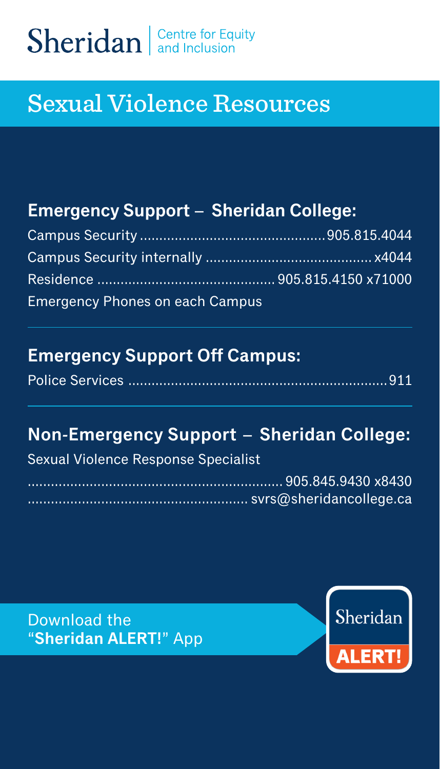# Sheridan and Inclusion

## Sexual Violence Resources

#### **Emergency Support – Sheridan College:**

| <b>Emergency Phones on each Campus</b> |  |
|----------------------------------------|--|

#### **Emergency Support Off Campus:**

|--|--|--|--|

#### **Non-Emergency Support – Sheridan College:**

#### Sexual Violence Response Specialist

Download the "**Sheridan ALERT!**" App